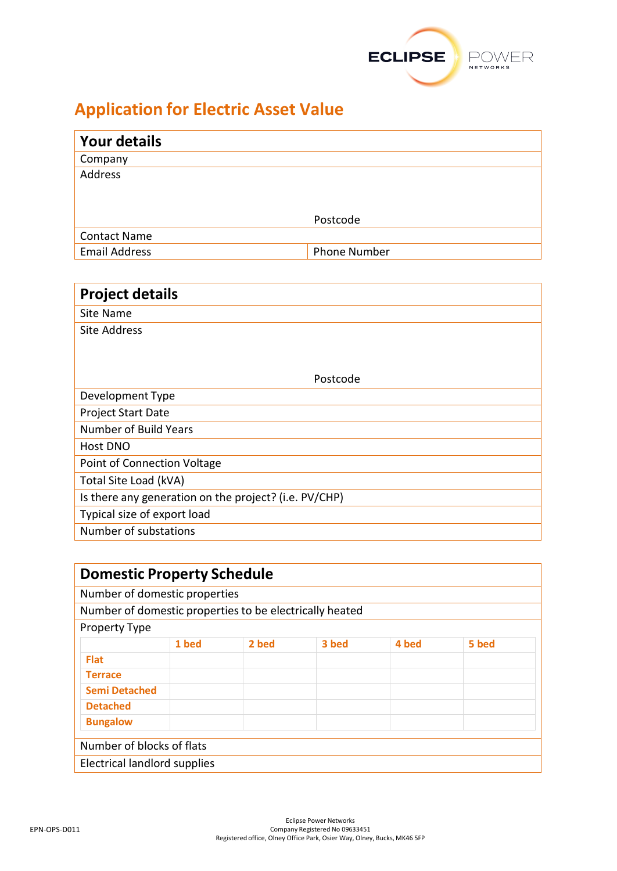

## **Application for Electric Asset Value**

| <b>Your details</b>  |                     |
|----------------------|---------------------|
| Company              |                     |
| Address              |                     |
|                      |                     |
|                      |                     |
|                      | Postcode            |
| <b>Contact Name</b>  |                     |
| <b>Email Address</b> | <b>Phone Number</b> |

| <b>Project details</b>                                |  |  |  |
|-------------------------------------------------------|--|--|--|
| Site Name                                             |  |  |  |
| Site Address                                          |  |  |  |
|                                                       |  |  |  |
|                                                       |  |  |  |
| Postcode                                              |  |  |  |
| Development Type                                      |  |  |  |
| <b>Project Start Date</b>                             |  |  |  |
| Number of Build Years                                 |  |  |  |
| Host DNO                                              |  |  |  |
| Point of Connection Voltage                           |  |  |  |
| Total Site Load (kVA)                                 |  |  |  |
| Is there any generation on the project? (i.e. PV/CHP) |  |  |  |
| Typical size of export load                           |  |  |  |
| Number of substations                                 |  |  |  |

| <b>Domestic Property Schedule</b>                       |       |       |       |       |       |  |  |
|---------------------------------------------------------|-------|-------|-------|-------|-------|--|--|
| Number of domestic properties                           |       |       |       |       |       |  |  |
| Number of domestic properties to be electrically heated |       |       |       |       |       |  |  |
| <b>Property Type</b>                                    |       |       |       |       |       |  |  |
|                                                         | 1 bed | 2 bed | 3 bed | 4 bed | 5 bed |  |  |
| <b>Flat</b>                                             |       |       |       |       |       |  |  |
| <b>Terrace</b>                                          |       |       |       |       |       |  |  |
| <b>Semi Detached</b>                                    |       |       |       |       |       |  |  |
| <b>Detached</b>                                         |       |       |       |       |       |  |  |
| <b>Bungalow</b>                                         |       |       |       |       |       |  |  |
| Number of blocks of flats                               |       |       |       |       |       |  |  |
| Electrical landlord supplies                            |       |       |       |       |       |  |  |
|                                                         |       |       |       |       |       |  |  |